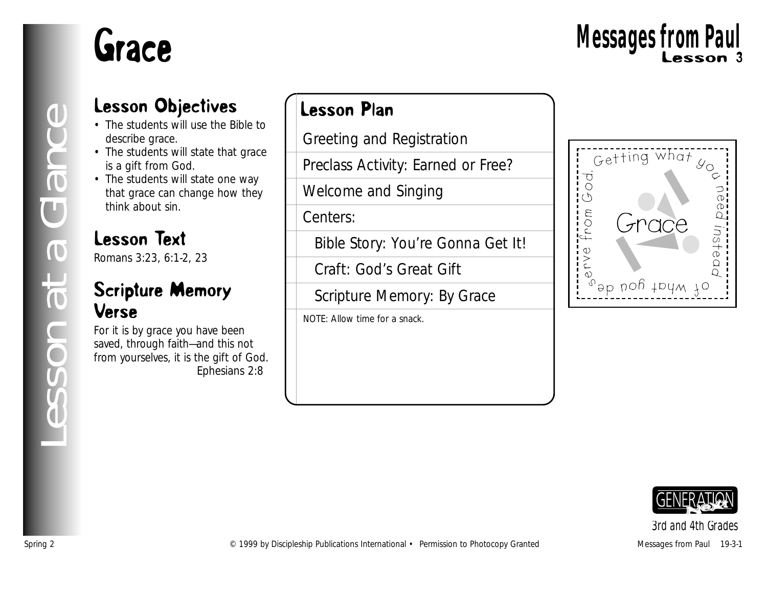

# Lesson Objectives

- The students will use the Bible to describe grace.
- The students will state that grace is a gift from God.
- The students will state one way that grace can change how they think about sin.

# Lesson Text

Romans 3:23, 6:1-2, 23

# Scripture Memory Verse

For it is by grace you have been saved, through faith—and this not from yourselves, it is the gift of God. *Ephesians 2:8*

# Lesson Plan

Greeting and Registration

Preclass Activity: Earned or Free?

Welcome and Singing

Centers:

Bible Story: You're Gonna Get It!

Craft: God's Great Gift

Scripture Memory: By Grace

NOTE: Allow time for a snack.





# *3rd and 4th Grades*

*Lesson at a Glance*

esson at a Glance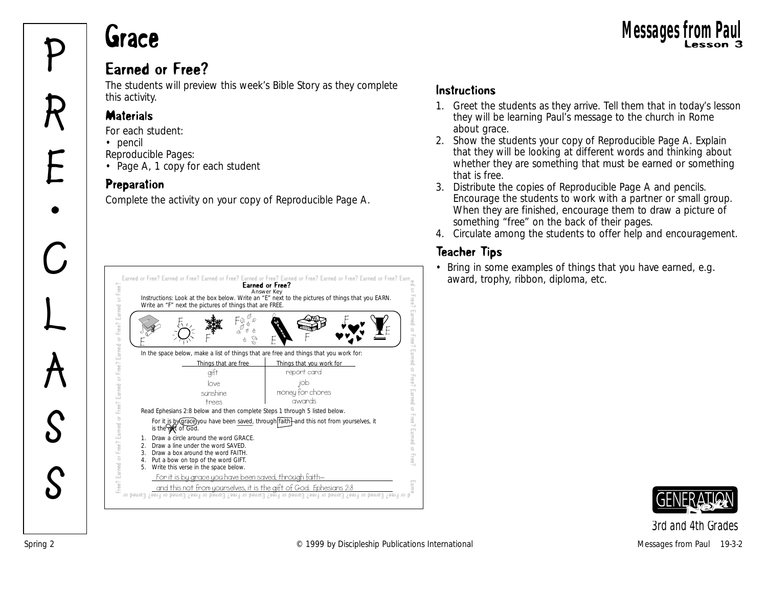#### Earned or Free?

The students will preview this week's Bible Story as they complete this activity.

#### **Materials**

*For each student:*

• pencil

**R**

**E**

**•**

**C**

**L**

**A**

**S**

**S**

- *Reproducible Pages:*
- Page A, 1 copy for each student

#### Preparation

Complete the activity on your copy of Reproducible Page A.

# Grace Messages from Paul Messages from Paul **Messages from Paul<br>
Earned or Free?**<br> **P**

#### Instructions

- 1. Greet the students as they arrive. Tell them that in today's lesson they will be learning Paul's message to the church in Rome about grace.
- 2. Show the students your copy of Reproducible Page A. Explain that they will be looking at different words and thinking about whether they are something that must be earned or something that is free.
- 3. Distribute the copies of Reproducible Page A and pencils. Encourage the students to work with a partner or small group. When they are finished, encourage them to draw a picture of something "free" on the back of their pages.
- 4. Circulate among the students to offer help and encouragement.

#### Teacher Tips

• Bring in some examples of things that you have earned, e.g. award, trophy, ribbon, diploma, etc.



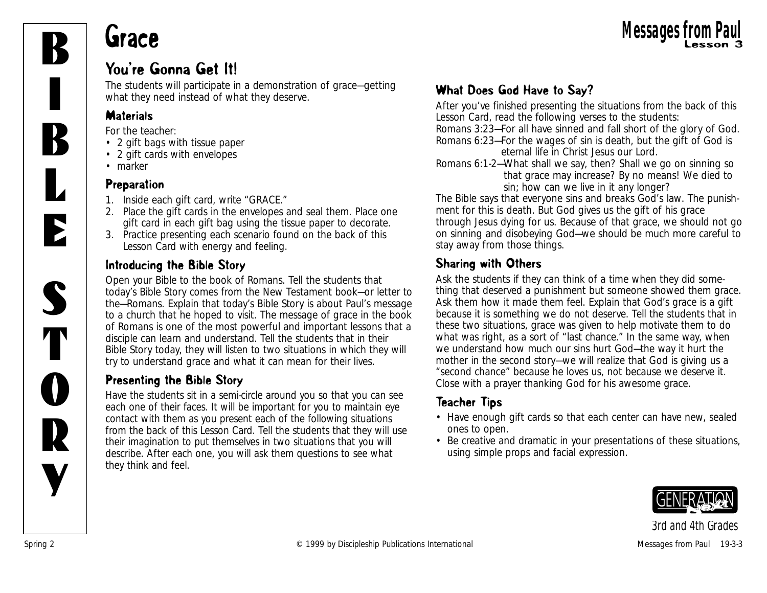

# Grace Messages from Paul Messages from Paul

### You're Gonna Get It!

The students will participate in a demonstration of grace—getting what they need instead of what they deserve.

#### **Materials**

*For the teacher:*

- 2 gift bags with tissue paper
- 2 gift cards with envelopes
- marker

#### Preparation

- 1. Inside each gift card, write "GRACE."
- 2. Place the gift cards in the envelopes and seal them. Place one gift card in each gift bag using the tissue paper to decorate.
- 3. Practice presenting each scenario found on the back of this Lesson Card with energy and feeling.

#### Introducing the Bible Story

Open your Bible to the book of Romans. Tell the students that today's Bible Story comes from the New Testament book—or letter to the—Romans. Explain that today's Bible Story is about Paul's message to a church that he hoped to visit. The message of grace in the book of Romans is one of the most powerful and important lessons that a disciple can learn and understand. Tell the students that in their Bible Story today, they will listen to two situations in which they will try to understand grace and what it can mean for their lives.

#### Presenting the Bible Story

Have the students sit in a semi-circle around you so that you can see each one of their faces. It will be important for you to maintain eye contact with them as you present each of the following situations from the back of this Lesson Card. Tell the students that they will use their imagination to put themselves in two situations that you will describe. After each one, you will ask them questions to see what they think and feel.

#### What Does God Have to Say?

After you've finished presenting the situations from the back of this Lesson Card, read the following verses to the students:

*Romans 3:23—For all have sinned and fall short of the glory of God. Romans 6:23—For the wages of sin is death, but the gift of God is eternal life in Christ Jesus our Lord.*

*Romans 6:1-2—What shall we say, then? Shall we go on sinning so that grace may increase? By no means! We died to sin; how can we live in it any longer?*

*The Bible says that everyone sins and breaks God's law. The punishment for this is death. But God gives us the gift of his grace through Jesus dying for us. Because of that grace, we should not go on sinning and disobeying God—we should be much more careful to stay away from those things.*

#### Sharing with Others

Ask the students if they can think of a time when they did something that deserved a punishment but someone showed them grace. Ask them how it made them feel. Explain that God's grace is a gift because it is something we do not deserve. Tell the students that in these two situations, grace was given to help motivate them to do what was right, as a sort of "last chance." In the same way, when we understand how much our sins hurt God—the way it hurt the mother in the second story—we will realize that God is giving us a "second chance" because he loves us, not because we deserve it. Close with a prayer thanking God for his awesome grace.

#### Teacher Tips

- Have enough gift cards so that each center can have new, sealed ones to open.
- Be creative and dramatic in your presentations of these situations, using simple props and facial expression.

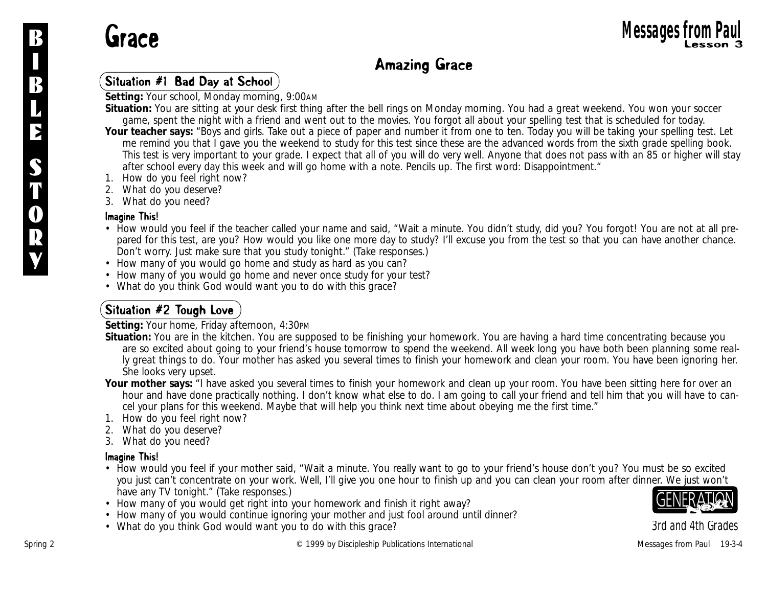### Amazing Grace

#### Situation #1 Bad Day at School

Setting: Your school, Monday morning, 9:00AM

**Situation:** You are sitting at your desk first thing after the bell rings on Monday morning. You had a great weekend. You won your soccer game, spent the night with a friend and went out to the movies. You forgot all about your spelling test that is scheduled for today.

- Your teacher says: "Boys and girls. Take out a piece of paper and number it from one to ten. Today you will be taking your spelling test. Let me remind you that I gave you the weekend to study for this test since these are the advanced words from the sixth grade spelling book. This test is very important to your grade. I expect that all of you will do very well. Anyone that does not pass with an 85 or higher will stay after school every day this week and will go home with a note. Pencils up. The first word: Disappointment."
- 1. How do you feel right now?
- 2. What do you deserve?
- 3. What do you need?

#### Imagine This!

- How would you feel if the teacher called your name and said, "Wait a minute. You didn't study, did you? You forgot! You are not at all prepared for this test, are you? How would you like one more day to study? I'll excuse you from the test so that you can have another chance. Don't worry. Just make sure that you study tonight." (Take responses.)
- How many of you would go home and study as hard as you can?
- How many of you would go home and never once study for your test?
- What do you think God would want you to do with this grace?

#### Situation #2 Tough Love

**Setting:** Your home, Friday afternoon, 4:30PM

**Situation:** You are in the kitchen. You are supposed to be finishing your homework. You are having a hard time concentrating because you are so excited about going to your friend's house tomorrow to spend the weekend. All week long you have both been planning some really great things to do. Your mother has asked you several times to finish your homework and clean your room. You have been ignoring her. She looks very upset.

- Your mother says: "I have asked you several times to finish your homework and clean up your room. You have been sitting here for over an hour and have done practically nothing. I don't know what else to do. I am going to call your friend and tell him that you will have to cancel your plans for this weekend. Maybe that will help you think next time about obeying me the first time."
- 1. How do you feel right now?
- 2. What do you deserve?
- 3. What do you need?

#### Imagine This!

- How would you feel if your mother said, "Wait a minute. You really want to go to your friend's house don't you? You must be so excited you just can't concentrate on your work. Well, I'll give you one hour to finish up and you can clean your room after dinner. We just won't have any TV tonight." (Take responses.)
- How many of you would get right into your homework and finish it right away?
- How many of you would continue ignoring your mother and just fool around until dinner?
- What do you think God would want you to do with this grace?

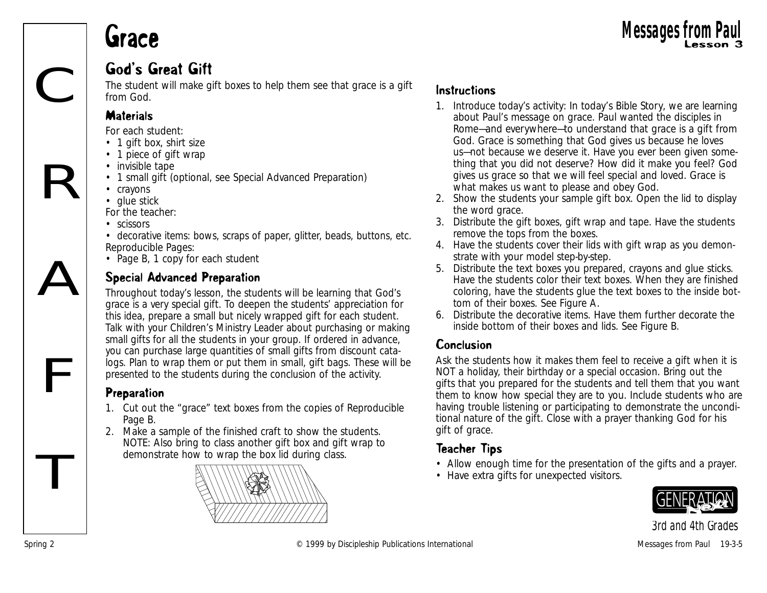### God's Great Gift

The student will make gift boxes to help them see that grace is a gift from God.

#### **Materials**

C

R

A

F

T

*For each student:*

- 1 gift box, shirt size
- 1 piece of gift wrap
- invisible tape
- 1 small gift (optional, see Special Advanced Preparation)
- crayons
- glue stick

*For the teacher:*

- scissors
- decorative items: bows, scraps of paper, glitter, beads, buttons, etc. *Reproducible Pages:*
- Page B, 1 copy for each student

#### Special Advanced Preparation

Throughout today's lesson, the students will be learning that God's grace is a very special gift. To deepen the students' appreciation for this idea, prepare a small but nicely wrapped gift for each student. Talk with your Children's Ministry Leader about purchasing or making small gifts for all the students in your group. If ordered in advance, you can purchase large quantities of small gifts from discount catalogs. Plan to wrap them or put them in small, gift bags. These will be presented to the students during the conclusion of the activity.

#### Preparation

- 1. Cut out the "grace" text boxes from the copies of Reproducible Page B.
- 2. Make a sample of the finished craft to show the students. NOTE: Also bring to class another gift box and gift wrap to demonstrate how to wrap the box lid during class.



#### Instructions

- 1. Introduce today's activity: *In today's Bible Story, we are learning about Paul's message on grace. Paul wanted the disciples in Rome—and everywhere—to understand that grace is a gift from God. Grace is something that God gives us because he loves us—not because we deserve it. Have you ever been given something that you did not deserve? How did it make you feel? God gives us grace so that we will feel special and loved. Grace is what makes us want to please and obey God.*
- 2. Show the students your sample gift box. Open the lid to display the word grace.
- 3. Distribute the gift boxes, gift wrap and tape. Have the students remove the tops from the boxes.
- 4. Have the students cover their lids with gift wrap as you demonstrate with your model step-by-step.
- 5. Distribute the text boxes you prepared, crayons and glue sticks. Have the students color their text boxes. When they are finished coloring, have the students glue the text boxes to the inside bottom of their boxes. See Figure A.
- 6. Distribute the decorative items. Have them further decorate the inside bottom of their boxes and lids. See Figure B.

#### Conclusion

Ask the students how it makes them feel to receive a gift when it is NOT a holiday, their birthday or a special occasion. Bring out the gifts that you prepared for the students and tell them that you want them to know how special they are to you. Include students who are having trouble listening or participating to demonstrate the unconditional nature of the gift. Close with a prayer thanking God for his gift of grace.

#### Teacher Tips

- Allow enough time for the presentation of the gifts and a prayer.
- Have extra gifts for unexpected visitors.



*3rd and 4th Grades*



Grace Messages from Paul Messages from Paul **Messages from**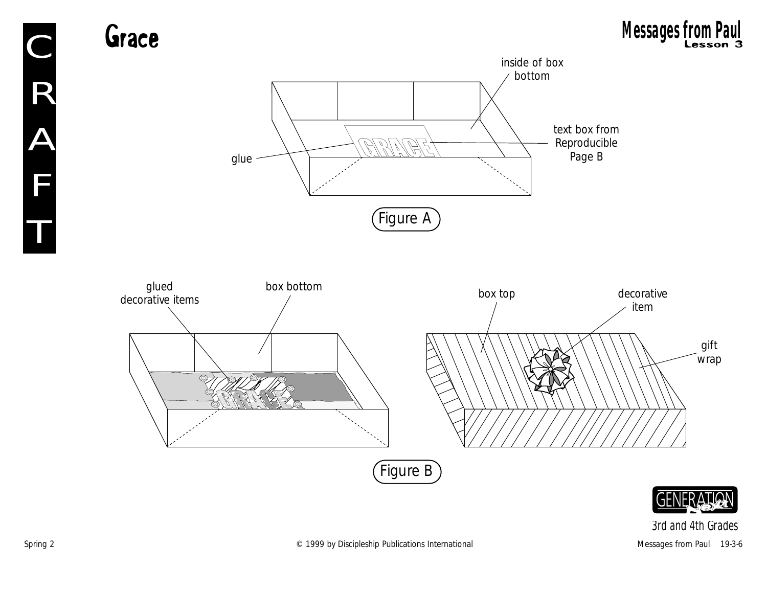



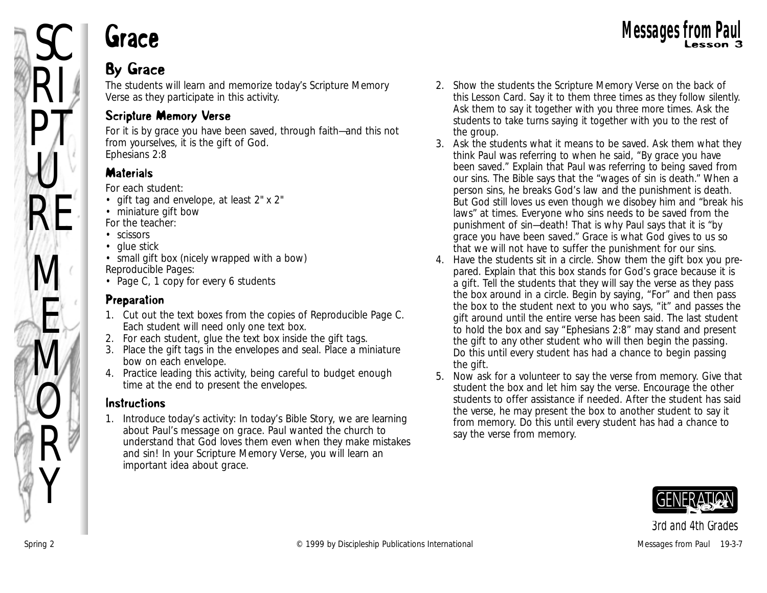

## By Grace

The students will learn and memorize today's Scripture Memory Verse as they participate in this activity.

#### Scripture Memory Verse

For it is by grace you have been saved, through faith—and this not from yourselves, it is the gift of God. *Ephesians 2:8*

#### **Materials**

*For each student:*

- gift tag and envelope, at least 2" x 2"
- miniature gift bow
- *For the teacher:*
- scissors
- glue stick
- small gift box (nicely wrapped with a bow) *Reproducible Pages:*
- Page C, 1 copy for every 6 students

#### Preparation

- 1. Cut out the text boxes from the copies of Reproducible Page C. Each student will need only one text box.
- 2. For each student, glue the text box inside the gift tags.
- 3. Place the gift tags in the envelopes and seal. Place a miniature bow on each envelope.
- 4. Practice leading this activity, being careful to budget enough time at the end to present the envelopes.

#### Instructions

1. Introduce today's activity: *In today's Bible Story, we are learning about Paul's message on grace. Paul wanted the church to understand that God loves them even when they make mistakes and sin! In your Scripture Memory Verse, you will learn an important idea about grace.*

# Grace Messages from Paul Messages from Paul **SC** Grace **SC** Grace **SC** Session 3

- 2. Show the students the Scripture Memory Verse on the back of this Lesson Card. Say it to them three times as they follow silently. Ask them to say it together with you three more times. Ask the students to take turns saying it together with you to the rest of the group.
- 3. Ask the students what it means to be saved. Ask them what they think Paul was referring to when he said, "By grace you have been saved." Explain that Paul was referring to being saved from our sins. *The Bible says that the "wages of sin is death." When a person sins, he breaks God's law and the punishment is death. But God still loves us even though we disobey him and "break his laws" at times. Everyone who sins needs to be saved from the punishment of sin—death! That is why Paul says that it is "by grace you have been saved." Grace is what God gives to us so that we will not have to suffer the punishment for our sins.*
- 4. Have the students sit in a circle. Show them the gift box you prepared. Explain that this box stands for God's grace because it is a gift. Tell the students that they will say the verse as they pass the box around in a circle. Begin by saying, "For" and then pass the box to the student next to you who says, "it" and passes the gift around until the entire verse has been said. The last student to hold the box and say "Ephesians 2:8" may stand and present the gift to any other student who will then begin the passing. Do this until every student has had a chance to begin passing the gift.
- 5. Now ask for a volunteer to say the verse from memory. Give that student the box and let him say the verse. Encourage the other students to offer assistance if needed. After the student has said the verse, he may present the box to another student to say it from memory. Do this until every student has had a chance to say the verse from memory.

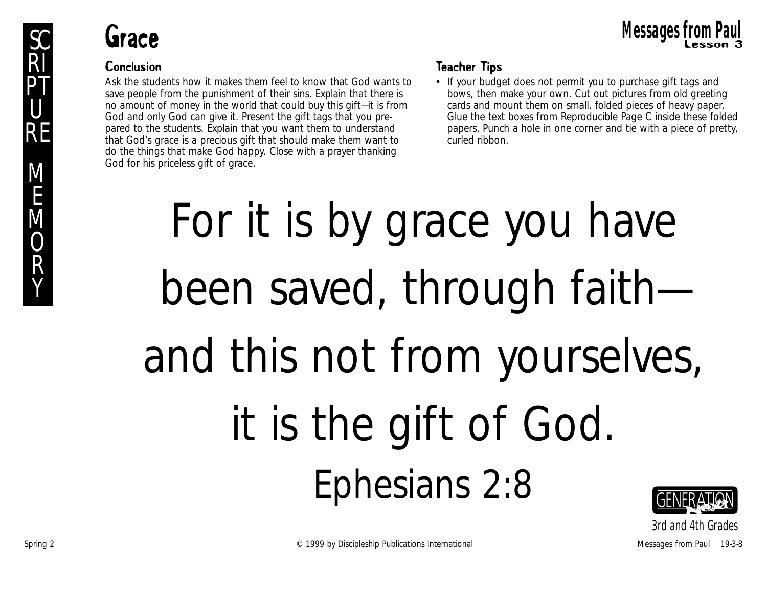#### Grace Messages from Paul Messages from Paul **Messages from Paul Contract Contract Contract Contract Contract Contract Contract Contract Contract Contract Contract Contract Contract Contract Contract Contract Contract Contract Contract Contract Contract Contract Cont**

#### Conclusion

Ask the students how it makes them feel to know that God wants to save people from the punishment of their sins. Explain that there is no amount of money in the world that could buy this gift—it is from God and only God can give it. Present the gift tags that you prepared to the students. Explain that you want them to understand that God's grace is a precious gift that should make them want to do the things that make God happy. Close with a prayer thanking God for his priceless gift of grace.

#### Teacher Tips

• If your budget does not permit you to purchase gift tags and bows, then make your own. Cut out pictures from old greeting cards and mount them on small, folded pieces of heavy paper. Glue the text boxes from Reproducible Page C inside these folded papers. Punch a hole in one corner and tie with a piece of pretty, curled ribbon.

For it is by grace you have been saved, through faith and this not from yourselves, it is the gift of God. Ephesians 2:8

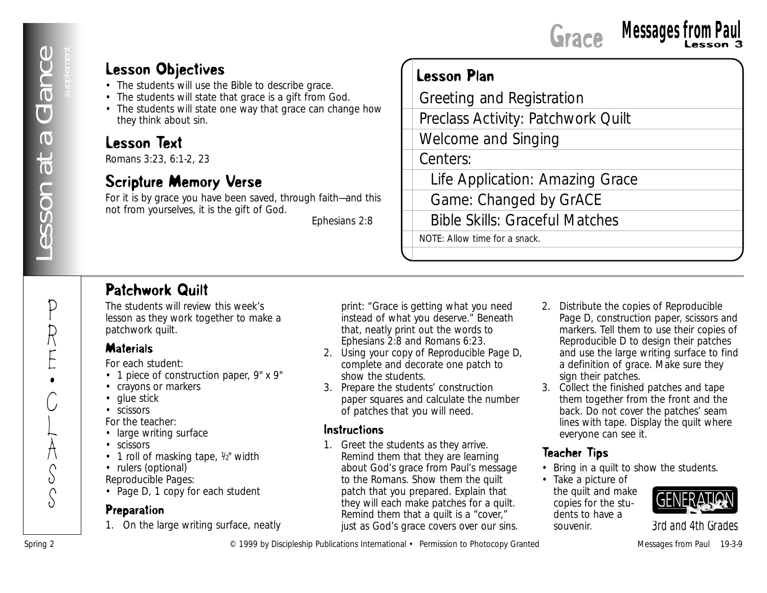P

R

E •

C

L

 $\sum_{i=1}^{n}$ S

S

#### Lesson Objectives

- The students will use the Bible to describe grace.
- The students will state that grace is a gift from God.
- The students will state one way that grace can change how they think about sin.

#### Lesson Text

Romans 3:23, 6:1-2, 23

#### Scripture Memory Verse

For it is by grace you have been saved, through faith—and this not from yourselves, it is the gift of God.

*Ephesians 2:8*

#### Lesson Plan

**Lesson Objectives**<br>
1. In a material sum and the fit of the spring 2 of the publication of the publications international value of the spring of the spring of the spring of the spring of the spring of the spring of the sp Greeting and Registration Preclass Activity: Patchwork Quilt Welcome and Singing Centers: Life Application: Amazing Grace Game: Changed by GrACE Bible Skills: Graceful Matches NOTE: Allow time for a snack.

## Patchwork Quilt

The students will review this week's lesson as they work together to make a patchwork quilt.

#### **Materials**

*For each student:*

- 1 piece of construction paper, 9" x 9"
- crayons or markers
- glue stick
- scissors

*For the teacher:*

- large writing surface
- scissors
- 1 roll of masking tape,  $\frac{1}{2}$ " width
- rulers (optional)
- *Reproducible Pages:*
- Page D, 1 copy for each student

#### Preparation

1. On the large writing surface, neatly

print: "Grace is getting what you need instead of what you deserve." Beneath that, neatly print out the words to Ephesians 2:8 and Romans 6:23.

- 2. Using your copy of Reproducible Page D, complete and decorate one patch to show the students.
- 3. Prepare the students' construction paper squares and calculate the number of patches that you will need.

#### **Instructions**

1. Greet the students as they arrive. Remind them that they are learning about God's grace from Paul's message to the Romans. Show them the quilt patch that you prepared. Explain that they will each make patches for a quilt. Remind them that a quilt is a "cover," just as God's grace covers over our sins. 2. Distribute the copies of Reproducible Page D, construction paper, scissors and markers. Tell them to use their copies of Reproducible D to design their patches and use the large writing surface to find a definition of grace. Make sure they sign their patches.

Grace Messages from Paul

3. Collect the finished patches and tape them together from the front and the back. Do not cover the patches' seam lines with tape. Display the quilt where everyone can see it.

#### Teacher Tips

• Bring in a quilt to show the students.

• Take a picture of the quilt and make copies for the students to have a souvenir.

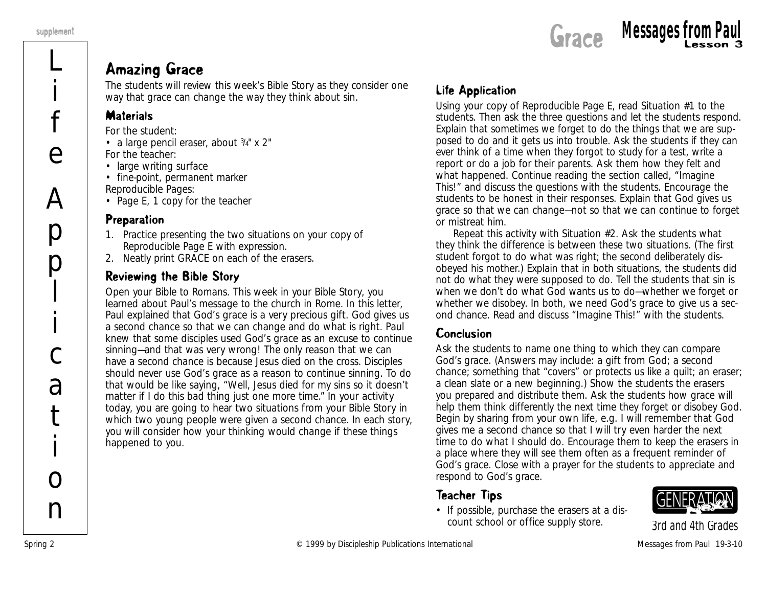

#### Amazing Grace

The students will review this week's Bible Story as they consider one way that grace can change the way they think about sin.

#### **Materials**

*For the student:* 

- a large pencil eraser, about  $\frac{3}{4}$ " x 2"
- *For the teacher:*
- large writing surface
- fine-point, permanent marker *Reproducible Pages:*
- Page E, 1 copy for the teacher

#### Preparation

- 1. Practice presenting the two situations on your copy of Reproducible Page E with expression.
- 2. Neatly print GRACE on each of the erasers.

#### Reviewing the Bible Story

Open your Bible to Romans. *This week in your Bible Story, you learned about Paul's message to the church in Rome. In this letter, Paul explained that God's grace is a very precious gift. God gives us a second chance so that we can change and do what is right. Paul knew that some disciples used God's grace as an excuse to continue sinning—and that was very wrong! The only reason that we can have a second chance is because Jesus died on the cross. Disciples should never use God's grace as a reason to continue sinning. To do that would be like saying, "Well, Jesus died for my sins so it doesn't matter if I do this bad thing just one more time." In your activity today, you are going to hear two situations from your Bible Story in which two young people were given a second chance. In each story, you will consider how your thinking would change if these things happened to you.* 

#### Life Application

Using your copy of Reproducible Page E, read Situation #1 to the students. Then ask the three questions and let the students respond. Explain that sometimes we forget to do the things that we are supposed to do and it gets us into trouble. Ask the students if they can ever think of a time when they forgot to study for a test, write a report or do a job for their parents. Ask them how they felt and what happened. Continue reading the section called, "Imagine This!" and discuss the questions with the students. Encourage the students to be honest in their responses. Explain that God gives us grace so that we can change—not so that we can continue to forget or mistreat him.

Repeat this activity with Situation #2. Ask the students what they think the difference is between these two situations. (The first student forgot to do what was right; the second deliberately disobeyed his mother.) Explain that in both situations, the students did not do what they were supposed to do. Tell the students that sin is when we don't do what God wants us to do—whether we forget or whether we disobey. In both, we need God's grace to give us a second chance. Read and discuss "Imagine This!" with the students.

#### Conclusion

Ask the students to name one thing to which they can compare God's grace. (Answers may include: a gift from God; a second chance; something that "covers" or protects us like a quilt; an eraser; a clean slate or a new beginning.) Show the students the erasers you prepared and distribute them. Ask the students how grace will help them think differently the next time they forget or disobey God. Begin by sharing from your own life, e.g. *I will remember that God gives me a second chance so that I will try even harder the next time to do what I should do.* Encourage them to keep the erasers in a place where they will see them often as a frequent reminder of God's grace. Close with a prayer for the students to appreciate and respond to God's grace.

### Teacher Tips

• If possible, purchase the erasers at a discount school or office supply store.

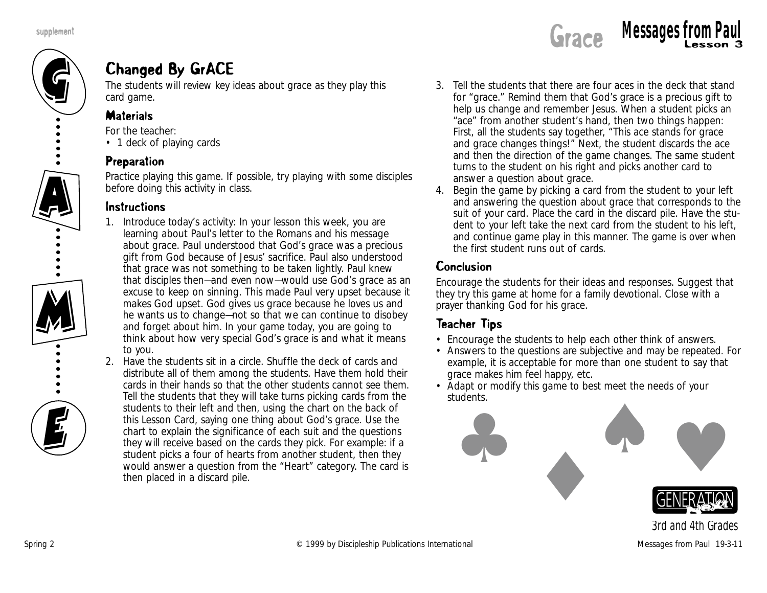

# Changed By GrACE

The students will review key ideas about grace as they play this card game.

#### **Materials**

*For the teacher:* • 1 deck of playing cards

#### Preparation

Practice playing this game. If possible, try playing with some disciples before doing this activity in class.

#### **Instructions**

- 1. Introduce today's activity: *In your lesson this week, you are learning about Paul's letter to the Romans and his message about grace. Paul understood that God's grace was a precious gift from God because of Jesus' sacrifice. Paul also understood that grace was not something to be taken lightly. Paul knew that disciples then—and even now—would use God's grace as an excuse to keep on sinning. This made Paul very upset because it makes God upset. God gives us grace because he loves us and he wants us to change—not so that we can continue to disobey and forget about him. In your game today, you are going to think about how very special God's grace is and what it means to you.*
- 2. Have the students sit in a circle. Shuffle the deck of cards and distribute all of them among the students. Have them hold their cards in their hands so that the other students cannot see them. Tell the students that they will take turns picking cards from the students to their left and then, using the chart on the back of this Lesson Card, saying one thing about God's grace. Use the chart to explain the significance of each suit and the questions they will receive based on the cards they pick. For example: if a student picks a four of hearts from another student, then they would answer a question from the "Heart" category. The card is then placed in a discard pile.
- 3. Tell the students that there are four aces in the deck that stand for "grace." Remind them that God's grace is a precious gift to help us change and remember Jesus. When a student picks an "ace" from another student's hand, then two things happen: First, all the students say together, "This ace stands for grace and grace changes things!" Next, the student discards the ace and then the direction of the game changes. The same student turns to the student on his right and picks another card to answer a question about grace.
- 4. Begin the game by picking a card from the student to your left and answering the question about grace that corresponds to the suit of your card. Place the card in the discard pile. Have the student to your left take the next card from the student to his left, and continue game play in this manner. The game is over when the first student runs out of cards.

#### Conclusion

Encourage the students for their ideas and responses. Suggest that they try this game at home for a family devotional. Close with a prayer thanking God for his grace.

#### Teacher Tips

- Encourage the students to help each other think of answers.
- Answers to the questions are subjective and may be repeated. For example, it is acceptable for more than one student to say that grace makes him feel happy, etc.
- Adapt or modify this game to best meet the needs of your students.

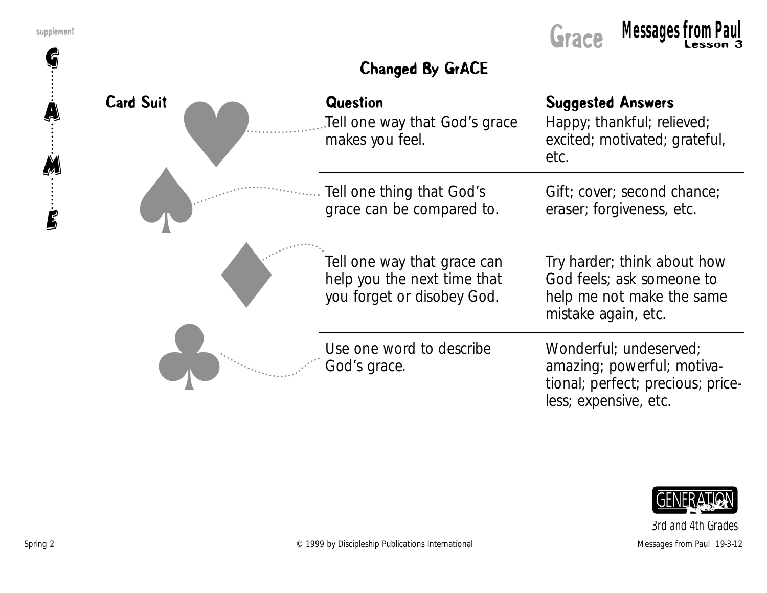G

A

M

E



# Changed By GrACE

| <b>Card Suit</b> | Question<br>Tell one way that God's grace<br>makes you feel.                             | <b>Suggested Answers</b><br>Happy; thankful; relieved;<br>excited; motivated; grateful,<br>etc.                    |
|------------------|------------------------------------------------------------------------------------------|--------------------------------------------------------------------------------------------------------------------|
|                  | Tell one thing that God's<br>grace can be compared to.                                   | Gift; cover; second chance;<br>eraser; forgiveness, etc.                                                           |
|                  | Tell one way that grace can<br>help you the next time that<br>you forget or disobey God. | Try harder; think about how<br>God feels; ask someone to<br>help me not make the same<br>mistake again, etc.       |
|                  | Use one word to describe<br>God's grace.                                                 | Wonderful; undeserved;<br>amazing; powerful; motiva-<br>tional; perfect; precious; price-<br>less; expensive, etc. |

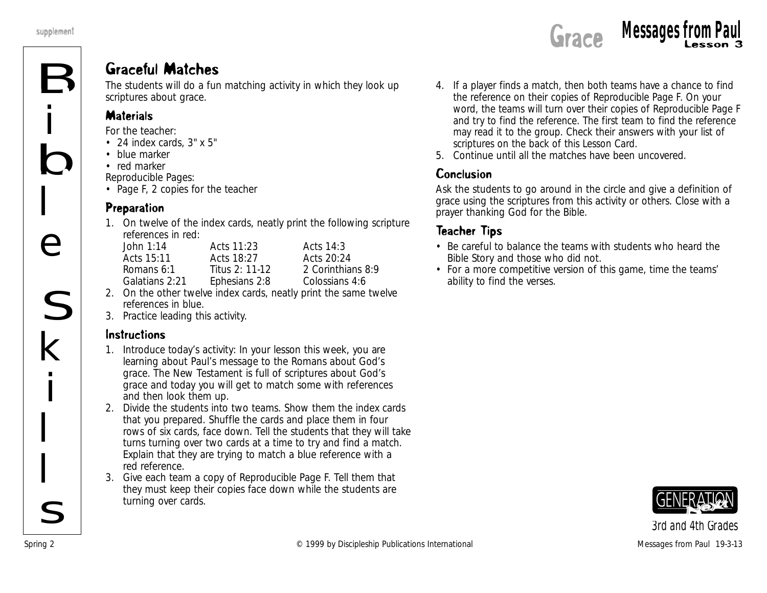

#### Graceful Matches

The students will do a fun matching activity in which they look up scriptures about grace.

#### **Materials**

*For the teacher:*

- 24 index cards, 3" x 5"
- blue marker
- red marker

*Reproducible Pages:*

• Page F, 2 copies for the teacher

#### Preparation

1. On twelve of the index cards, neatly print the following scripture references in red:

| John 1:14      | Acts 11:23     | Acts 14:3         |
|----------------|----------------|-------------------|
| Acts 15:11     | Acts 18:27     | Acts $20:24$      |
| Romans 6:1     | Titus 2: 11-12 | 2 Corinthians 8:9 |
| Galatians 2:21 | Ephesians 2:8  | Colossians 4:6    |

- 2. On the other twelve index cards, neatly print the same twelve references in blue.
- 3. Practice leading this activity.

#### Instructions

- 1. Introduce today's activity: *In your lesson this week, you are learning about Paul's message to the Romans about God's grace. The New Testament is full of scriptures about God's grace and today you will get to match some with references and then look them up.*
- 2. Divide the students into two teams. Show them the index cards that you prepared. Shuffle the cards and place them in four rows of six cards, face down. Tell the students that they will take turns turning over two cards at a time to try and find a match. Explain that they are trying to match a blue reference with a red reference.
- 3. Give each team a copy of Reproducible Page F. Tell them that they must keep their copies face down while the students are turning over cards.
- 4. If a player finds a match, then both teams have a chance to find the reference on their copies of Reproducible Page F. On your word, the teams will turn over their copies of Reproducible Page F and try to find the reference. The first team to find the reference may read it to the group. Check their answers with your list of scriptures on the back of this Lesson Card.
- 5. Continue until all the matches have been uncovered.

#### Conclusion

Ask the students to go around in the circle and give a definition of grace using the scriptures from this activity or others. Close with a prayer thanking God for the Bible.

#### Teacher Tips

- Be careful to balance the teams with students who heard the Bible Story and those who did not.
- For a more competitive version of this game, time the teams' ability to find the verses.

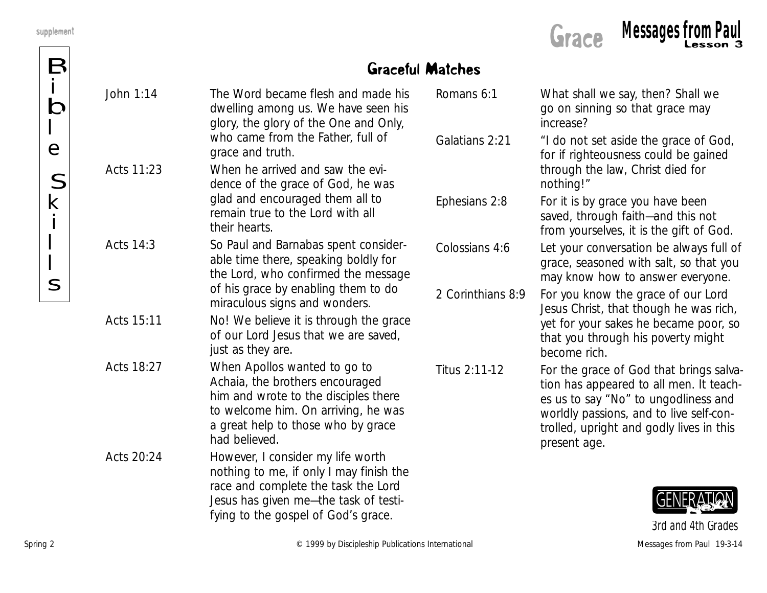| supplemen <sup>'</sup> |  |  |  |
|------------------------|--|--|--|
|                        |  |  |  |

B

i

b

 $\overline{\phantom{a}}$  $\bar{E}$ 

S

k

i

l l ا<br>S



### Graceful Matches

|            | John 1:14                                                                                           | The Word became flesh and made his<br>dwelling among us. We have seen his<br>glory, the glory of the One and Only,                                                                                    | Romans 6:1                                                                                  | What shall we say, then? Shall we<br>go on sinning so that grace may<br>increase?                                                                                                                                                 |
|------------|-----------------------------------------------------------------------------------------------------|-------------------------------------------------------------------------------------------------------------------------------------------------------------------------------------------------------|---------------------------------------------------------------------------------------------|-----------------------------------------------------------------------------------------------------------------------------------------------------------------------------------------------------------------------------------|
|            |                                                                                                     | who came from the Father, full of<br>grace and truth.                                                                                                                                                 | Galatians 2:21                                                                              | "I do not set aside the grace of God,<br>for if righteousness could be gained                                                                                                                                                     |
|            | Acts 11:23                                                                                          | When he arrived and saw the evi-<br>dence of the grace of God, he was                                                                                                                                 |                                                                                             | through the law, Christ died for<br>nothing!"                                                                                                                                                                                     |
|            |                                                                                                     | glad and encouraged them all to<br>remain true to the Lord with all<br>their hearts.                                                                                                                  | Ephesians 2:8                                                                               | For it is by grace you have been<br>saved, through faith-and this not<br>from yourselves, it is the gift of God.                                                                                                                  |
|            | Acts 14:3                                                                                           | So Paul and Barnabas spent consider-<br>able time there, speaking boldly for<br>the Lord, who confirmed the message                                                                                   | Colossians 4:6                                                                              | Let your conversation be always full of<br>grace, seasoned with salt, so that you<br>may know how to answer everyone.                                                                                                             |
|            |                                                                                                     | of his grace by enabling them to do<br>miraculous signs and wonders.                                                                                                                                  | 2 Corinthians 8:9                                                                           | For you know the grace of our Lord<br>Jesus Christ, that though he was rich,                                                                                                                                                      |
| Acts 15:11 | No! We believe it is through the grace<br>of our Lord Jesus that we are saved,<br>just as they are. |                                                                                                                                                                                                       | yet for your sakes he became poor, so<br>that you through his poverty might<br>become rich. |                                                                                                                                                                                                                                   |
|            | Acts 18:27                                                                                          | When Apollos wanted to go to<br>Achaia, the brothers encouraged<br>him and wrote to the disciples there<br>to welcome him. On arriving, he was<br>a great help to those who by grace<br>had believed. | Titus 2:11-12                                                                               | For the grace of God that brings salva-<br>tion has appeared to all men. It teach-<br>es us to say "No" to ungodliness and<br>worldly passions, and to live self-con-<br>trolled, upright and godly lives in this<br>present age. |
|            | Acts 20:24                                                                                          | However, I consider my life worth<br>nothing to me, if only I may finish the<br>race and complete the task the Lord                                                                                   |                                                                                             |                                                                                                                                                                                                                                   |
|            |                                                                                                     | Jesus has given me-the task of testi-<br>fying to the gospel of God's grace.                                                                                                                          |                                                                                             | 3rd and 4th Grades                                                                                                                                                                                                                |
|            |                                                                                                     |                                                                                                                                                                                                       |                                                                                             |                                                                                                                                                                                                                                   |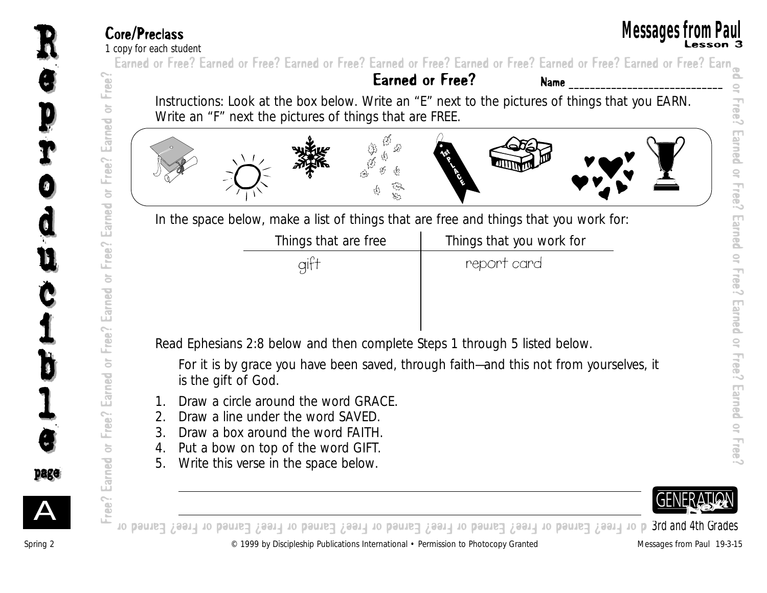**Core/Preclass**<br>1 copy for each student

Free?

 $\overline{\circ}$ 

Earned

or Free?

Earned

Free?

Earned or

Free?

Earned or

Free? I

 $\overline{a}$ 

Earned

edor

Free? Earnedor Free? Earnedor Free? Earnedor Free?

Earnedor

Free?

Earned or Free? Earned or Free? Earned or Free? Earned or Free? Earned or Free? Earned or Free? Earned or Free? Earn Instructions: Look at the box below. Write an "E" next to the pictures of things that you EARN. Write an "F" next the pictures of things that are FREE. In the space below, make a list of things that are free and things that you work for: Things that are free Things that you work for Read Ephesians 2:8 below and then complete Steps 1 through 5 listed below. For it is by grace you have been saved, through faith—and this not from yourselves, it is the gift of God. 1. Draw a circle around the word GRACE. 2. Draw a line under the word SAVED. 3. Draw a box around the word FAITH. 4. Put a bow on top of the word GIFT. **1 Core/Preclass**<br>1 copy for each student<br>Earned or Free? Earned or Free? Earned or Free? Earned or Free? Earned or Free? Earned or Free? Earned or Free? Earn Earned or Free? Name **\_\_\_\_\_\_\_\_\_\_\_\_\_\_\_\_\_\_\_\_\_\_\_\_\_\_\_\_\_** gift report card

5. Write this verse in the space below.



e

e

R

p

p

r

r

o

o

d

d

u

u

c

Č

i

i

b

b

 $\mathbf{I}% _{t}\left| \mathbf{I}_{t}\right| =\mathbf{I}_{t}+\mathbf{I}_{t}+\mathbf{I}_{t}+\mathbf{I}_{t}+\mathbf{I}_{t}+\mathbf{I}_{t}+\mathbf{I}_{t}+\mathbf{I}_{t}+\mathbf{I}_{t}+\mathbf{I}_{t}+\mathbf{I}_{t}+\mathbf{I}_{t}+\mathbf{I}_{t}+\mathbf{I}_{t}+\mathbf{I}_{t}+\mathbf{I}_{t}+\mathbf{I}_{t}+\mathbf{I}_{t}+\mathbf{I}_{t}+\mathbf{I}_{t}+\mathbf{I}_{t}+\mathbf{I}_{t}+\mathbf{I}_{t}+\mathbf{I}_{t}+\mathbf{I$ 

l

e

e

page page

Free? Earned or Free? Earned or Free? Earned or Free? Earned or Free? Earned or Free? Free? I l<br>Earned Street d or Free? Earned or Free? Earned or Free? Earned or Free? Earned Starned or Free? Earned or *3rd and 4th Grades*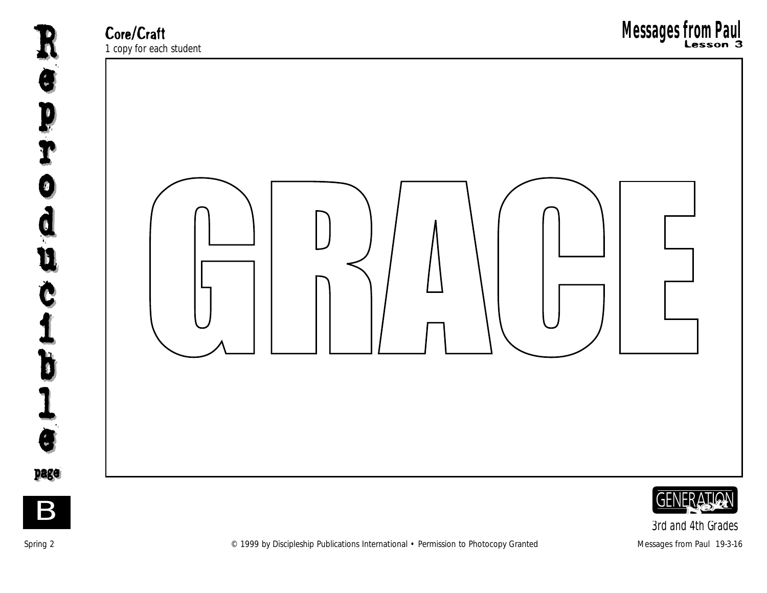**Core/Craft**<br>1 copy for each student **1 copy for each student Lesson 3**<br> **1** copy for each student **Lesson 3** 





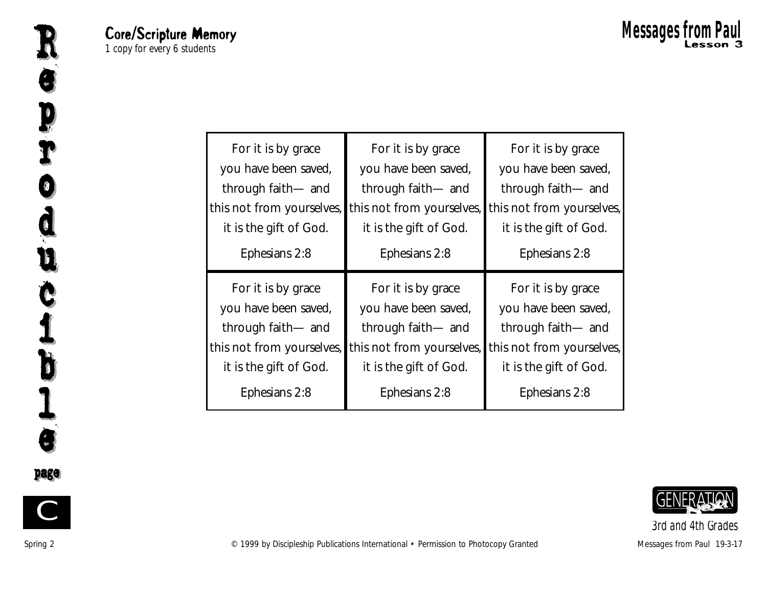| For it is by grace        | For it is by grace        | For it is by grace        |
|---------------------------|---------------------------|---------------------------|
| you have been saved,      | you have been saved,      | you have been saved,      |
| through faith— and        | through faith— and        | through faith-and         |
| this not from yourselves, | this not from yourselves, | this not from yourselves, |
| it is the gift of God.    | it is the gift of God.    | it is the gift of God.    |
| Ephesians 2:8             | Ephesians 2:8             | Ephesians 2:8             |
| For it is by grace        | For it is by grace        | For it is by grace        |
| you have been saved,      | you have been saved,      | you have been saved,      |
| through faith— and        | through faith— and        | through faith— and        |
| this not from yourselves, | this not from yourselves, | this not from yourselves, |
| it is the gift of God.    | it is the gift of God.    | it is the gift of God.    |
| Ephesians 2:8             | Ephesians 2:8             | Ephesians 2:8             |



*3rd and 4th Grades*

 $\bigcap$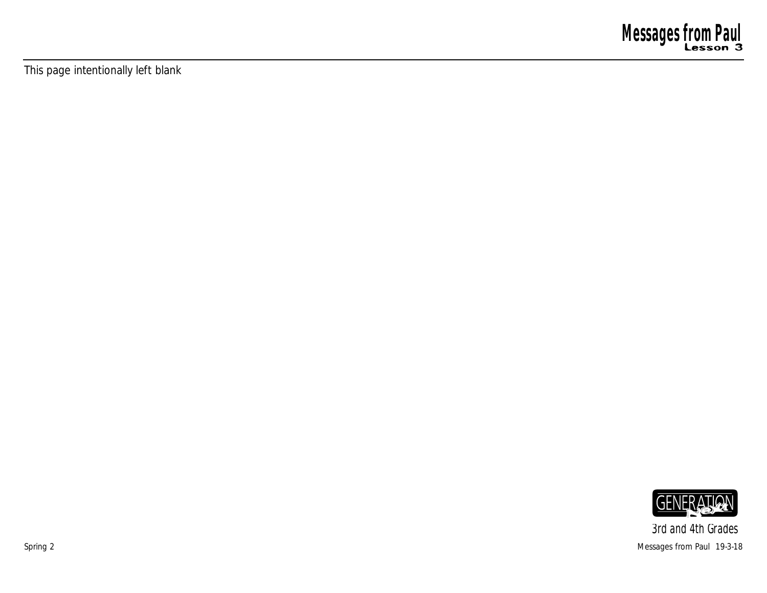This page intentionally left blank



Spring 2 Messages from Paul 19-3-18 *3rd and 4th Grades*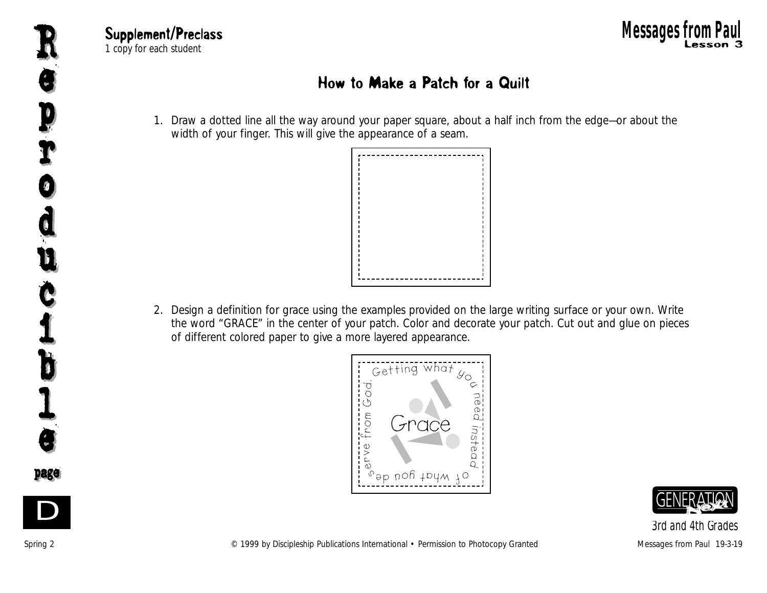



#### How to Make a Patch for a Quilt

1. Draw a dotted line all the way around your paper square, about a half inch from the edge—or about the width of your finger. This will give the appearance of a seam.



2. Design a definition for grace using the examples provided on the large writing surface or your own. Write the word "GRACE" in the center of your patch. Color and decorate your patch. Cut out and glue on pieces of different colored paper to give a more layered appearance.





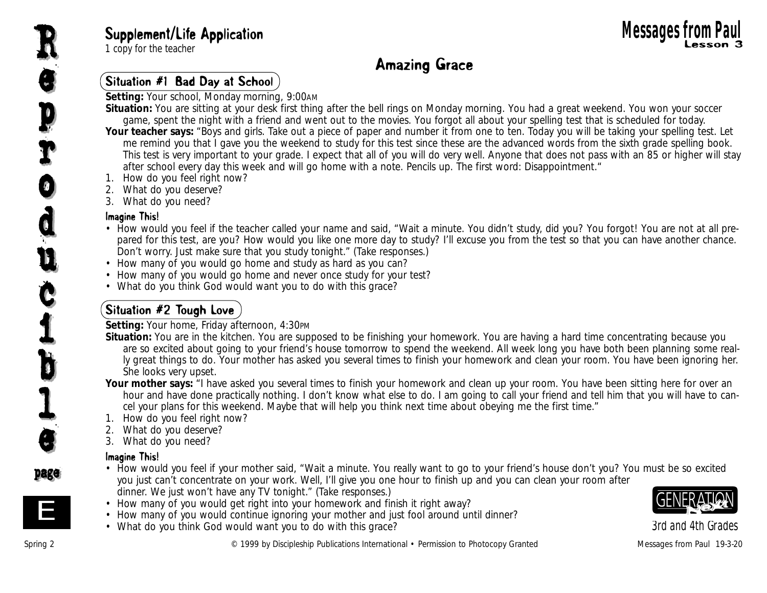# Supplement/Life Application (1999) Supplement/Life Application (1999) Supplement/Life Application (1999) Supplement<br>The teacher Lesson 3 **Messages from Paul**<br>The sacker of the teacher **America Crace of American** Strate of the teacher of the teacher **America Crace America Crace**

### Amazing Grace

#### Situation #1 Bad Day at School)

Setting: Your school, Monday morning, 9:00AM

- **Situation:** You are sitting at your desk first thing after the bell rings on Monday morning. You had a great weekend. You won your soccer game, spent the night with a friend and went out to the movies. You forgot all about your spelling test that is scheduled for today.
- Your teacher says: "Boys and girls. Take out a piece of paper and number it from one to ten. Today you will be taking your spelling test. Let me remind you that I gave you the weekend to study for this test since these are the advanced words from the sixth grade spelling book. This test is very important to your grade. I expect that all of you will do very well. Anyone that does not pass with an 85 or higher will stay after school every day this week and will go home with a note. Pencils up. The first word: Disappointment."
- 1. How do you feel right now?
- 2. What do you deserve?
- 3. What do you need?

#### Imagine This!

- How would you feel if the teacher called your name and said, "Wait a minute. You didn't study, did you? You forgot! You are not at all prepared for this test, are you? How would you like one more day to study? I'll excuse you from the test so that you can have another chance. Don't worry. Just make sure that you study tonight." (Take responses.)
- How many of you would go home and study as hard as you can?
- How many of you would go home and never once study for your test?
- What do you think God would want you to do with this grace?

#### Situation #2 Tough Love

**Setting:** Your home, Friday afternoon, 4:30PM

**Situation:** You are in the kitchen. You are supposed to be finishing your homework. You are having a hard time concentrating because you are so excited about going to your friend's house tomorrow to spend the weekend. All week long you have both been planning some really great things to do. Your mother has asked you several times to finish your homework and clean your room. You have been ignoring her. She looks very upset.

- Your mother says: "I have asked you several times to finish your homework and clean up your room. You have been sitting here for over an hour and have done practically nothing. I don't know what else to do. I am going to call your friend and tell him that you will have to cancel your plans for this weekend. Maybe that will help you think next time about obeying me the first time."
- 1. How do you feel right now?
- 2. What do you deserve?
- 3. What do you need?

#### Imagine This!

- How would you feel if your mother said, "Wait a minute. You really want to go to your friend's house don't you? You must be so excited you just can't concentrate on your work. Well, I'll give you one hour to finish up and you can clean your room after dinner. We just won't have any TV tonight." (Take responses.)
- How many of you would get right into your homework and finish it right away?
- How many of you would continue ignoring your mother and just fool around until dinner?
- What do you think God would want you to do with this grace?



*3rd and 4th Grades*

page page

E